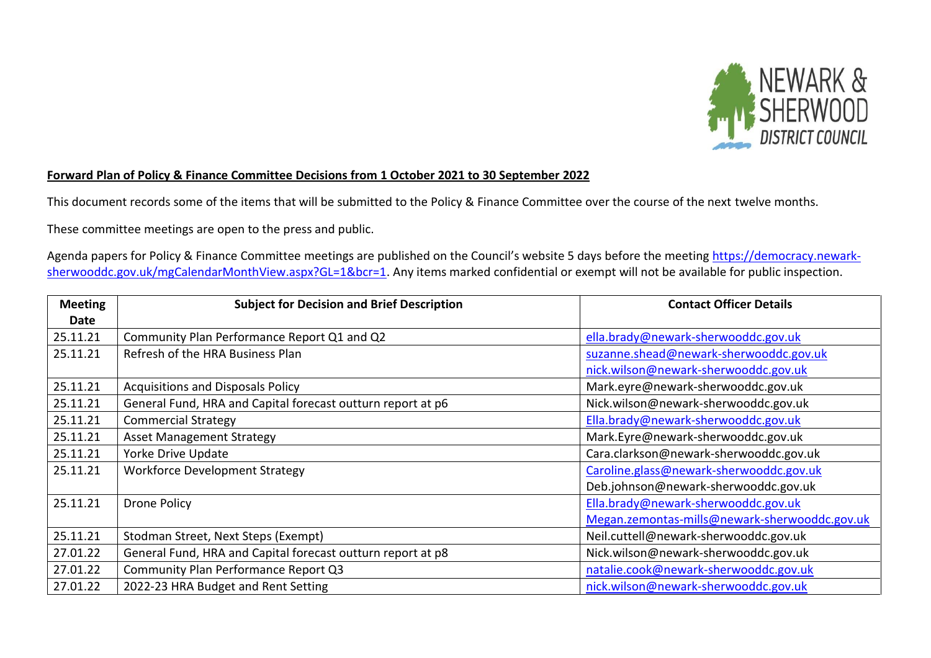

## **Forward Plan of Policy & Finance Committee Decisions from 1 October 2021 to 30 September 2022**

This document records some of the items that will be submitted to the Policy & Finance Committee over the course of the next twelve months.

These committee meetings are open to the press and public.

Agenda papers for Policy & Finance Committee meetings are published on the Council's website 5 days before the meeting [https://democracy.newark](https://democracy.newark-sherwooddc.gov.uk/mgCalendarMonthView.aspx?GL=1&bcr=1)[sherwooddc.gov.uk/mgCalendarMonthView.aspx?GL=1&bcr=1.](https://democracy.newark-sherwooddc.gov.uk/mgCalendarMonthView.aspx?GL=1&bcr=1) Any items marked confidential or exempt will not be available for public inspection.

| <b>Meeting</b> | <b>Subject for Decision and Brief Description</b>           | <b>Contact Officer Details</b>                |
|----------------|-------------------------------------------------------------|-----------------------------------------------|
| Date           |                                                             |                                               |
| 25.11.21       | Community Plan Performance Report Q1 and Q2                 | ella.brady@newark-sherwooddc.gov.uk           |
| 25.11.21       | Refresh of the HRA Business Plan                            | suzanne.shead@newark-sherwooddc.gov.uk        |
|                |                                                             | nick.wilson@newark-sherwooddc.gov.uk          |
| 25.11.21       | <b>Acquisitions and Disposals Policy</b>                    | Mark.eyre@newark-sherwooddc.gov.uk            |
| 25.11.21       | General Fund, HRA and Capital forecast outturn report at p6 | Nick.wilson@newark-sherwooddc.gov.uk          |
| 25.11.21       | <b>Commercial Strategy</b>                                  | Ella.brady@newark-sherwooddc.gov.uk           |
| 25.11.21       | <b>Asset Management Strategy</b>                            | Mark.Eyre@newark-sherwooddc.gov.uk            |
| 25.11.21       | Yorke Drive Update                                          | Cara.clarkson@newark-sherwooddc.gov.uk        |
| 25.11.21       | <b>Workforce Development Strategy</b>                       | Caroline.glass@newark-sherwooddc.gov.uk       |
|                |                                                             | Deb.johnson@newark-sherwooddc.gov.uk          |
| 25.11.21       | <b>Drone Policy</b>                                         | Ella.brady@newark-sherwooddc.gov.uk           |
|                |                                                             | Megan.zemontas-mills@newark-sherwooddc.gov.uk |
| 25.11.21       | Stodman Street, Next Steps (Exempt)                         | Neil.cuttell@newark-sherwooddc.gov.uk         |
| 27.01.22       | General Fund, HRA and Capital forecast outturn report at p8 | Nick.wilson@newark-sherwooddc.gov.uk          |
| 27.01.22       | Community Plan Performance Report Q3                        | natalie.cook@newark-sherwooddc.gov.uk         |
| 27.01.22       | 2022-23 HRA Budget and Rent Setting                         | nick.wilson@newark-sherwooddc.gov.uk          |